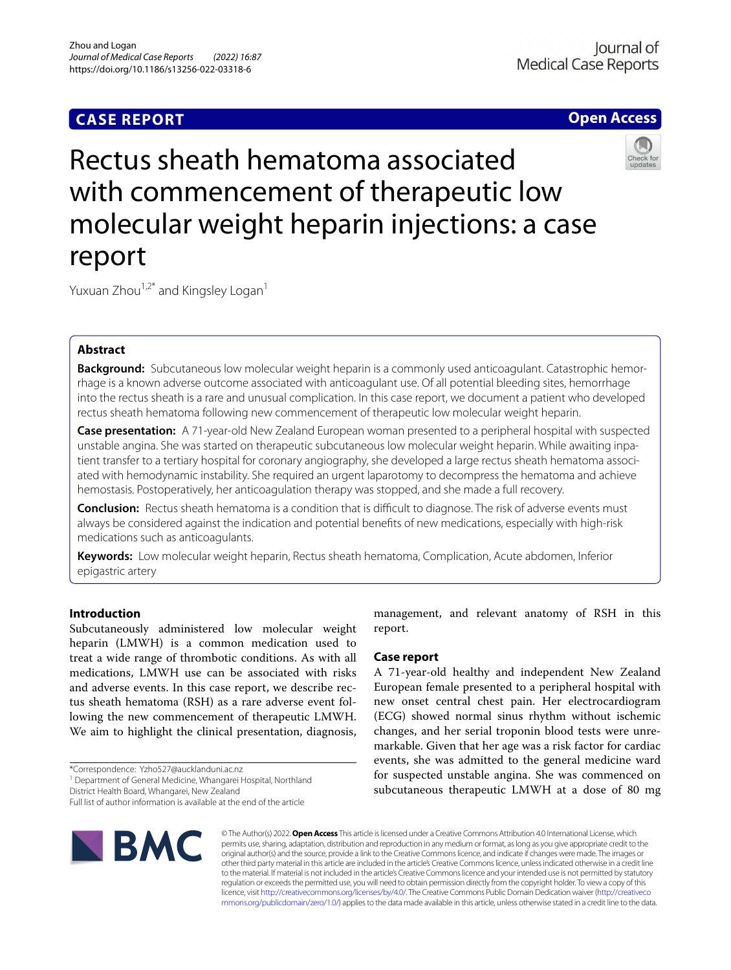# **CASE REPORT**

# **Open Access**



# Rectus sheath hematoma associated with commencement of therapeutic low molecular weight heparin injections: a case report

Yuxuan Zhou<sup>1,2\*</sup> and Kingsley Logan<sup>1</sup>

# **Abstract**

**Background:** Subcutaneous low molecular weight heparin is a commonly used anticoagulant. Catastrophic hemorrhage is a known adverse outcome associated with anticoagulant use. Of all potential bleeding sites, hemorrhage into the rectus sheath is a rare and unusual complication. In this case report, we document a patient who developed rectus sheath hematoma following new commencement of therapeutic low molecular weight heparin.

**Case presentation:** A 71-year-old New Zealand European woman presented to a peripheral hospital with suspected unstable angina. She was started on therapeutic subcutaneous low molecular weight heparin. While awaiting inpatient transfer to a tertiary hospital for coronary angiography, she developed a large rectus sheath hematoma associated with hemodynamic instability. She required an urgent laparotomy to decompress the hematoma and achieve hemostasis. Postoperatively, her anticoagulation therapy was stopped, and she made a full recovery.

**Conclusion:** Rectus sheath hematoma is a condition that is difficult to diagnose. The risk of adverse events must always be considered against the indication and potential benefts of new medications, especially with high-risk medications such as anticoagulants.

**Keywords:** Low molecular weight heparin, Rectus sheath hematoma, Complication, Acute abdomen, Inferior epigastric artery

# **Introduction**

Subcutaneously administered low molecular weight heparin (LMWH) is a common medication used to treat a wide range of thrombotic conditions. As with all medications, LMWH use can be associated with risks and adverse events. In this case report, we describe rectus sheath hematoma (RSH) as a rare adverse event following the new commencement of therapeutic LMWH. We aim to highlight the clinical presentation, diagnosis,

District Health Board, Whangarei, New Zealand

Full list of author information is available at the end of the article



management, and relevant anatomy of RSH in this report.

# **Case report**

A 71-year-old healthy and independent New Zealand European female presented to a peripheral hospital with new onset central chest pain. Her electrocardiogram (ECG) showed normal sinus rhythm without ischemic changes, and her serial troponin blood tests were unremarkable. Given that her age was a risk factor for cardiac events, she was admitted to the general medicine ward for suspected unstable angina. She was commenced on subcutaneous therapeutic LMWH at a dose of 80 mg

© The Author(s) 2022. **Open Access** This article is licensed under a Creative Commons Attribution 4.0 International License, which permits use, sharing, adaptation, distribution and reproduction in any medium or format, as long as you give appropriate credit to the original author(s) and the source, provide a link to the Creative Commons licence, and indicate if changes were made. The images or other third party material in this article are included in the article's Creative Commons licence, unless indicated otherwise in a credit line to the material. If material is not included in the article's Creative Commons licence and your intended use is not permitted by statutory regulation or exceeds the permitted use, you will need to obtain permission directly from the copyright holder. To view a copy of this licence, visit [http://creativecommons.org/licenses/by/4.0/.](http://creativecommons.org/licenses/by/4.0/) The Creative Commons Public Domain Dedication waiver ([http://creativeco](http://creativecommons.org/publicdomain/zero/1.0/) [mmons.org/publicdomain/zero/1.0/](http://creativecommons.org/publicdomain/zero/1.0/)) applies to the data made available in this article, unless otherwise stated in a credit line to the data.

<sup>\*</sup>Correspondence: Yzho527@aucklanduni.ac.nz

<sup>&</sup>lt;sup>1</sup> Department of General Medicine, Whangarei Hospital, Northland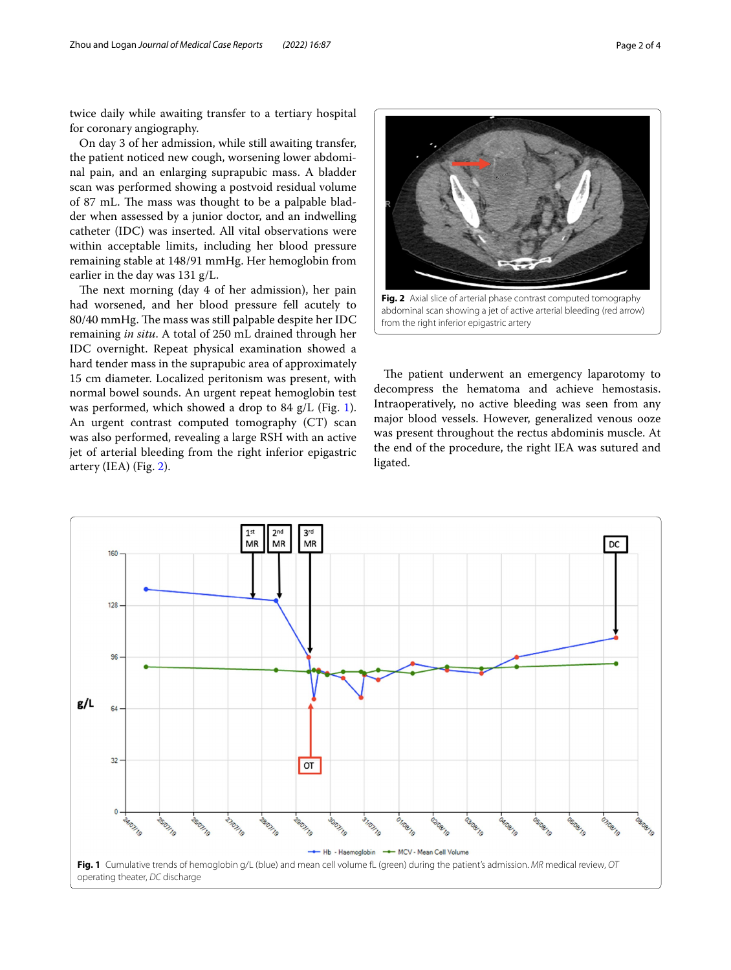twice daily while awaiting transfer to a tertiary hospital for coronary angiography.

On day 3 of her admission, while still awaiting transfer, the patient noticed new cough, worsening lower abdominal pain, and an enlarging suprapubic mass. A bladder scan was performed showing a postvoid residual volume of 87 mL. The mass was thought to be a palpable bladder when assessed by a junior doctor, and an indwelling catheter (IDC) was inserted. All vital observations were within acceptable limits, including her blood pressure remaining stable at 148/91 mmHg. Her hemoglobin from earlier in the day was 131 g/L.

The next morning (day 4 of her admission), her pain had worsened, and her blood pressure fell acutely to 80/40 mmHg. The mass was still palpable despite her IDC remaining *in situ*. A total of 250 mL drained through her IDC overnight. Repeat physical examination showed a hard tender mass in the suprapubic area of approximately 15 cm diameter. Localized peritonism was present, with normal bowel sounds. An urgent repeat hemoglobin test was performed, which showed a drop to 84 g/L (Fig. [1](#page-1-0)). An urgent contrast computed tomography (CT) scan was also performed, revealing a large RSH with an active jet of arterial bleeding from the right inferior epigastric artery (IEA) (Fig. [2\)](#page-1-1).



<span id="page-1-1"></span>abdominal scan showing a jet of active arterial bleeding (red arrow) from the right inferior epigastric artery

The patient underwent an emergency laparotomy to decompress the hematoma and achieve hemostasis. Intraoperatively, no active bleeding was seen from any major blood vessels. However, generalized venous ooze was present throughout the rectus abdominis muscle. At the end of the procedure, the right IEA was sutured and ligated.

<span id="page-1-0"></span>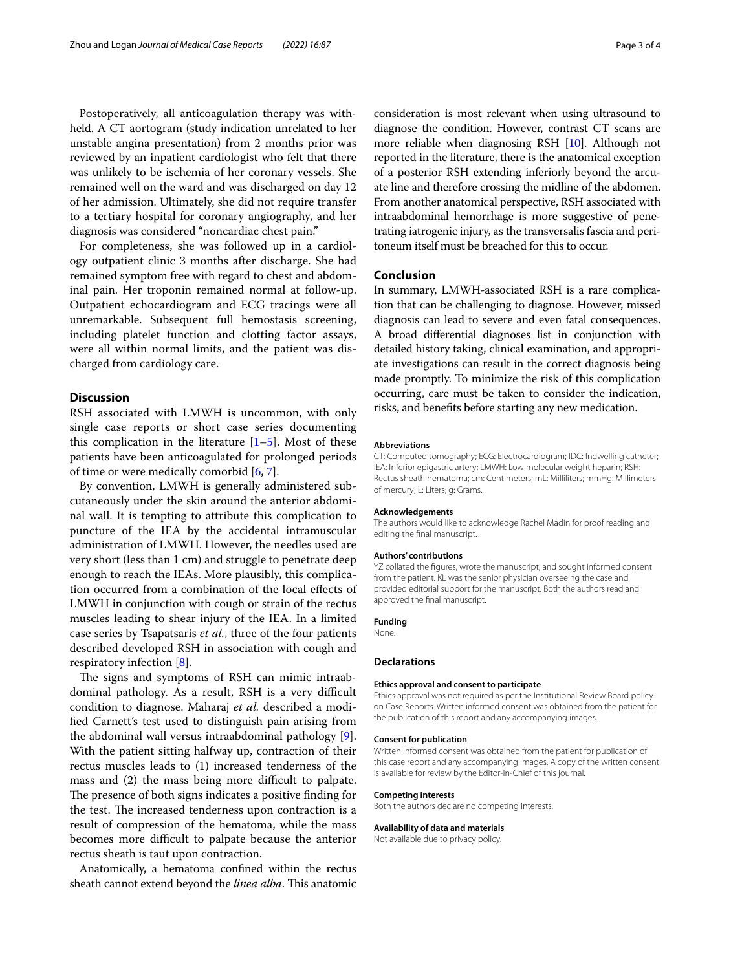Postoperatively, all anticoagulation therapy was withheld. A CT aortogram (study indication unrelated to her unstable angina presentation) from 2 months prior was reviewed by an inpatient cardiologist who felt that there was unlikely to be ischemia of her coronary vessels. She remained well on the ward and was discharged on day 12 of her admission. Ultimately, she did not require transfer to a tertiary hospital for coronary angiography, and her diagnosis was considered "noncardiac chest pain."

For completeness, she was followed up in a cardiology outpatient clinic 3 months after discharge. She had remained symptom free with regard to chest and abdominal pain. Her troponin remained normal at follow-up. Outpatient echocardiogram and ECG tracings were all unremarkable. Subsequent full hemostasis screening, including platelet function and clotting factor assays, were all within normal limits, and the patient was discharged from cardiology care.

# **Discussion**

RSH associated with LMWH is uncommon, with only single case reports or short case series documenting this complication in the literature  $[1–5]$  $[1–5]$  $[1–5]$ . Most of these patients have been anticoagulated for prolonged periods of time or were medically comorbid [[6,](#page-3-2) [7](#page-3-3)].

By convention, LMWH is generally administered subcutaneously under the skin around the anterior abdominal wall. It is tempting to attribute this complication to puncture of the IEA by the accidental intramuscular administration of LMWH. However, the needles used are very short (less than 1 cm) and struggle to penetrate deep enough to reach the IEAs. More plausibly, this complication occurred from a combination of the local efects of LMWH in conjunction with cough or strain of the rectus muscles leading to shear injury of the IEA. In a limited case series by Tsapatsaris *et al.*, three of the four patients described developed RSH in association with cough and respiratory infection [[8\]](#page-3-4).

The signs and symptoms of RSH can mimic intraabdominal pathology. As a result, RSH is a very difficult condition to diagnose. Maharaj *et al.* described a modifed Carnett's test used to distinguish pain arising from the abdominal wall versus intraabdominal pathology [\[9](#page-3-5)]. With the patient sitting halfway up, contraction of their rectus muscles leads to (1) increased tenderness of the mass and (2) the mass being more difficult to palpate. The presence of both signs indicates a positive finding for the test. The increased tenderness upon contraction is a result of compression of the hematoma, while the mass becomes more difficult to palpate because the anterior rectus sheath is taut upon contraction.

Anatomically, a hematoma confned within the rectus sheath cannot extend beyond the *linea alba*. This anatomic

consideration is most relevant when using ultrasound to diagnose the condition. However, contrast CT scans are more reliable when diagnosing RSH [[10](#page-3-6)]. Although not reported in the literature, there is the anatomical exception of a posterior RSH extending inferiorly beyond the arcuate line and therefore crossing the midline of the abdomen. From another anatomical perspective, RSH associated with intraabdominal hemorrhage is more suggestive of penetrating iatrogenic injury, as the transversalis fascia and peritoneum itself must be breached for this to occur.

# **Conclusion**

In summary, LMWH-associated RSH is a rare complication that can be challenging to diagnose. However, missed diagnosis can lead to severe and even fatal consequences. A broad diferential diagnoses list in conjunction with detailed history taking, clinical examination, and appropriate investigations can result in the correct diagnosis being made promptly. To minimize the risk of this complication occurring, care must be taken to consider the indication, risks, and benefts before starting any new medication.

#### **Abbreviations**

CT: Computed tomography; ECG: Electrocardiogram; IDC: Indwelling catheter; IEA: Inferior epigastric artery; LMWH: Low molecular weight heparin; RSH: Rectus sheath hematoma; cm: Centimeters; mL: Milliliters; mmHg: Millimeters of mercury; L: Liters; g: Grams.

#### **Acknowledgements**

The authors would like to acknowledge Rachel Madin for proof reading and editing the fnal manuscript.

#### **Authors' contributions**

YZ collated the fgures, wrote the manuscript, and sought informed consent from the patient. KL was the senior physician overseeing the case and provided editorial support for the manuscript. Both the authors read and approved the fnal manuscript.

#### **Funding**

None.

## **Declarations**

## **Ethics approval and consent to participate**

Ethics approval was not required as per the Institutional Review Board policy on Case Reports. Written informed consent was obtained from the patient for the publication of this report and any accompanying images.

#### **Consent for publication**

Written informed consent was obtained from the patient for publication of this case report and any accompanying images. A copy of the written consent is available for review by the Editor-in-Chief of this journal.

#### **Competing interests**

Both the authors declare no competing interests.

#### **Availability of data and materials**

Not available due to privacy policy.